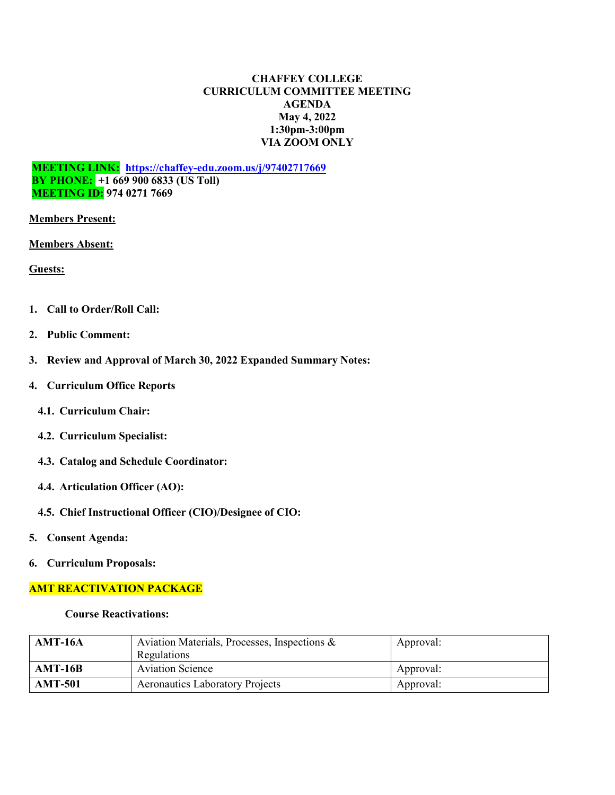## **CHAFFEY COLLEGE CURRICULUM COMMITTEE MEETING AGENDA May 4, 2022 1:30pm-3:00pm VIA ZOOM ONLY**

**MEETING LINK: <https://chaffey-edu.zoom.us/j/97402717669> BY PHONE: +1 669 900 6833 (US Toll) MEETING ID: 974 0271 7669**

**Members Present:**

**Members Absent:**

**Guests:**

- **1. Call to Order/Roll Call:**
- **2. Public Comment:**
- **3. Review and Approval of March 30, 2022 Expanded Summary Notes:**
- **4. Curriculum Office Reports**
	- **4.1. Curriculum Chair:**
	- **4.2. Curriculum Specialist:**
	- **4.3. Catalog and Schedule Coordinator:**
	- **4.4. Articulation Officer (AO):**
	- **4.5. Chief Instructional Officer (CIO)/Designee of CIO:**
- **5. Consent Agenda:**
- **6. Curriculum Proposals:**

## **AMT REACTIVATION PACKAGE**

**Course Reactivations:**

| <b>AMT-16A</b> | Aviation Materials, Processes, Inspections & | Approval: |
|----------------|----------------------------------------------|-----------|
| $AMT-16B$      | Regulations<br><b>Aviation Science</b>       | Approval: |
| <b>AMT-501</b> | <b>Aeronautics Laboratory Projects</b>       | Approval: |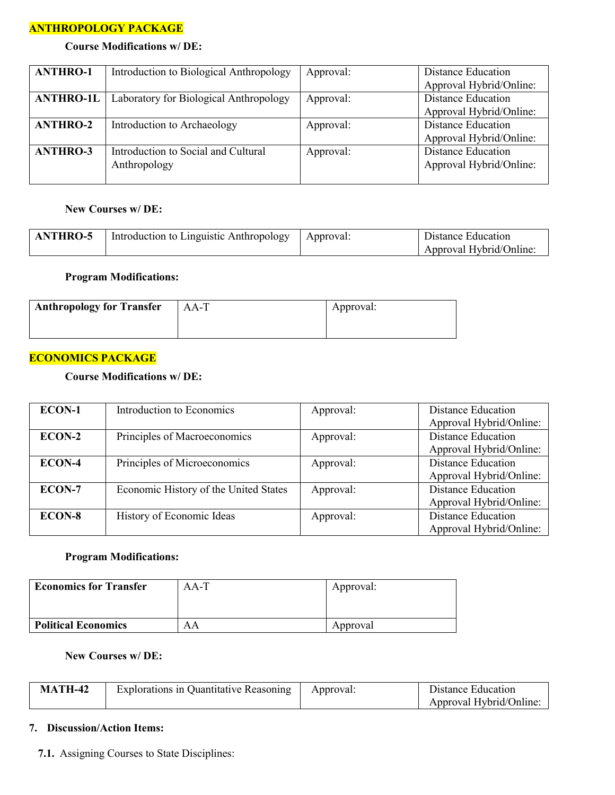## **ANTHROPOLOGY PACKAGE**

# **Course Modifications w/ DE:**

| <b>ANTHRO-1</b>  | Introduction to Biological Anthropology | Approval: | Distance Education        |
|------------------|-----------------------------------------|-----------|---------------------------|
|                  |                                         |           | Approval Hybrid/Online:   |
| <b>ANTHRO-1L</b> | Laboratory for Biological Anthropology  | Approval: | <b>Distance Education</b> |
|                  |                                         |           | Approval Hybrid/Online:   |
| <b>ANTHRO-2</b>  | Introduction to Archaeology             | Approval: | <b>Distance Education</b> |
|                  |                                         |           | Approval Hybrid/Online:   |
| <b>ANTHRO-3</b>  | Introduction to Social and Cultural     | Approval: | Distance Education        |
|                  | Anthropology                            |           | Approval Hybrid/Online:   |
|                  |                                         |           |                           |

### **New Courses w/ DE:**

| <b>ANTHRO-5</b> | Introduction to Linguistic Anthropology   Approval: | Distance Education      |
|-----------------|-----------------------------------------------------|-------------------------|
|                 |                                                     | Approval Hybrid/Online: |

# **Program Modifications:**

| <b>Anthropology for Transfer</b> | $AA-T$ | Approval: |
|----------------------------------|--------|-----------|
|                                  |        |           |

# **ECONOMICS PACKAGE**

## **Course Modifications w/ DE:**

| ECON-1        | Introduction to Economics             | Approval: | Distance Education<br>Approval Hybrid/Online:        |
|---------------|---------------------------------------|-----------|------------------------------------------------------|
| <b>ECON-2</b> | Principles of Macroeconomics          | Approval: | <b>Distance Education</b><br>Approval Hybrid/Online: |
| ECON-4        | Principles of Microeconomics          | Approval: | <b>Distance Education</b><br>Approval Hybrid/Online: |
| <b>ECON-7</b> | Economic History of the United States | Approval: | <b>Distance Education</b><br>Approval Hybrid/Online: |
| <b>ECON-8</b> | History of Economic Ideas             | Approval: | <b>Distance Education</b><br>Approval Hybrid/Online: |

### **Program Modifications:**

| <b>Economics for Transfer</b> | $AA-T$ | Approval: |
|-------------------------------|--------|-----------|
|                               |        |           |
| <b>Political Economics</b>    | AΑ     | Approval  |

### **New Courses w/ DE:**

| <b>MATH-42</b> | Explorations in Quantitative Reasoning | Approval: | Distance Education      |
|----------------|----------------------------------------|-----------|-------------------------|
|                |                                        |           | Approval Hybrid/Online: |

### **7. Discussion/Action Items:**

**7.1.** Assigning Courses to State Disciplines: